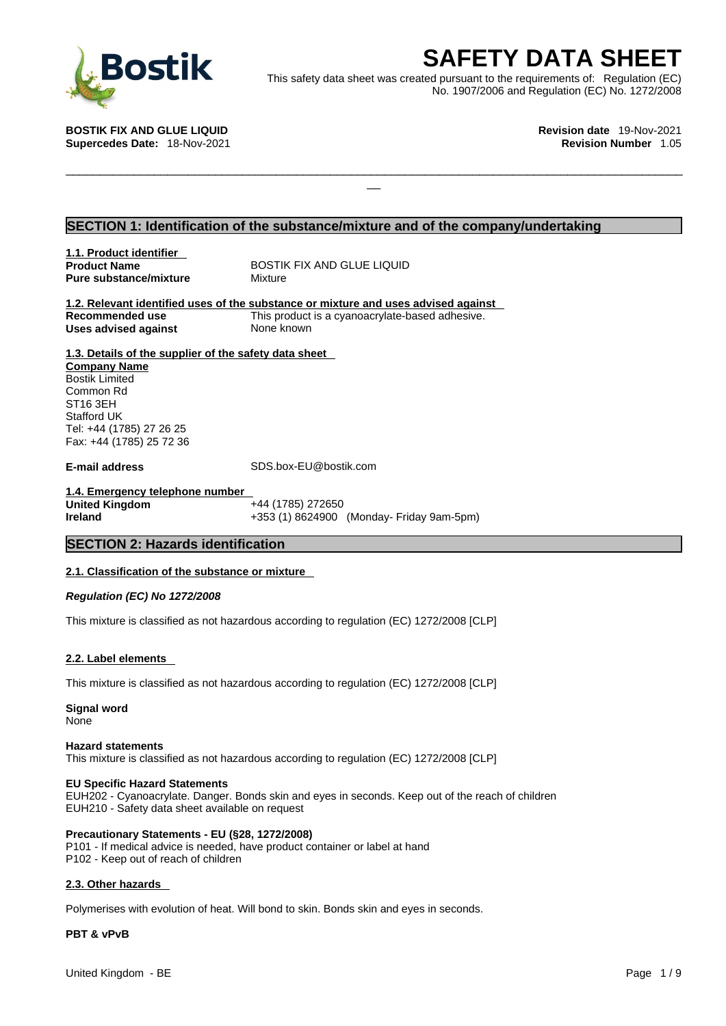

**SAFETY DATA SHEET**<br>
et was created pursuant to the requirements of: Regulation (EC)<br>
No. 1907/2006 and Regulation (EC) No. 1272/2008<br>
Revision date 19-Nov-2021<br>
Revision Number 1.05 This safety data sheet was created pursuant to the requirements of: Regulation (EC) No. 1907/2006 and Regulation (EC) No. 1272/2008

 $\Box$ 

**BOSTIK FIX AND GLUE LIQUID Revision date** 19-Nov-2021 **Supercedes Date:** 18-Nov-2021 **Revision Number** 1.05

# **SECTION 1: Identification of the substance/mixture and of the company/undertaking**

**1.1. Product identifier Product Name** BOSTIK FIX AND GLUE LIQUID **Pure substance/mixture** Mixture

**1.2. Relevant identified uses of the substance or mixture and uses advised against Recommended use** This product is a cyanoacrylate-based adhesive. **Uses advised against** None known

**1.3. Details of the supplier of the safety data sheet Company Name** Bostik Limited Common Rd ST16 3EH Stafford UK Tel: +44 (1785) 27 26 25 Fax: +44 (1785) 25 72 36

**E-mail address** SDS.box-EU@bostik.com

**1.4. Emergency telephone number United Kingdom** +44 (1785) 272650 **Ireland** +353 (1) 8624900 (Monday- Friday 9am-5pm)

# **SECTION 2: Hazards identification**

## **2.1. Classification of the substance or mixture**

*Regulation (EC) No 1272/2008* 

This mixture is classified as not hazardous according to regulation (EC) 1272/2008 [CLP]

## **2.2. Label elements**

This mixture is classified as not hazardous according to regulation (EC) 1272/2008 [CLP]

**Signal word** None

### **Hazard statements**

This mixture is classified as not hazardous according to regulation (EC) 1272/2008 [CLP]

## **EU Specific Hazard Statements**

EUH202 - Cyanoacrylate. Danger. Bonds skin and eyes in seconds. Keep out of the reach of children EUH210 - Safety data sheet available on request

## **Precautionary Statements - EU (§28, 1272/2008)**

P101 - If medical advice is needed, have product container or label at hand P102 - Keep out of reach of children

# **2.3. Other hazards**

Polymerises with evolution of heat. Will bond to skin. Bonds skin and eyes in seconds.

## **PBT & vPvB**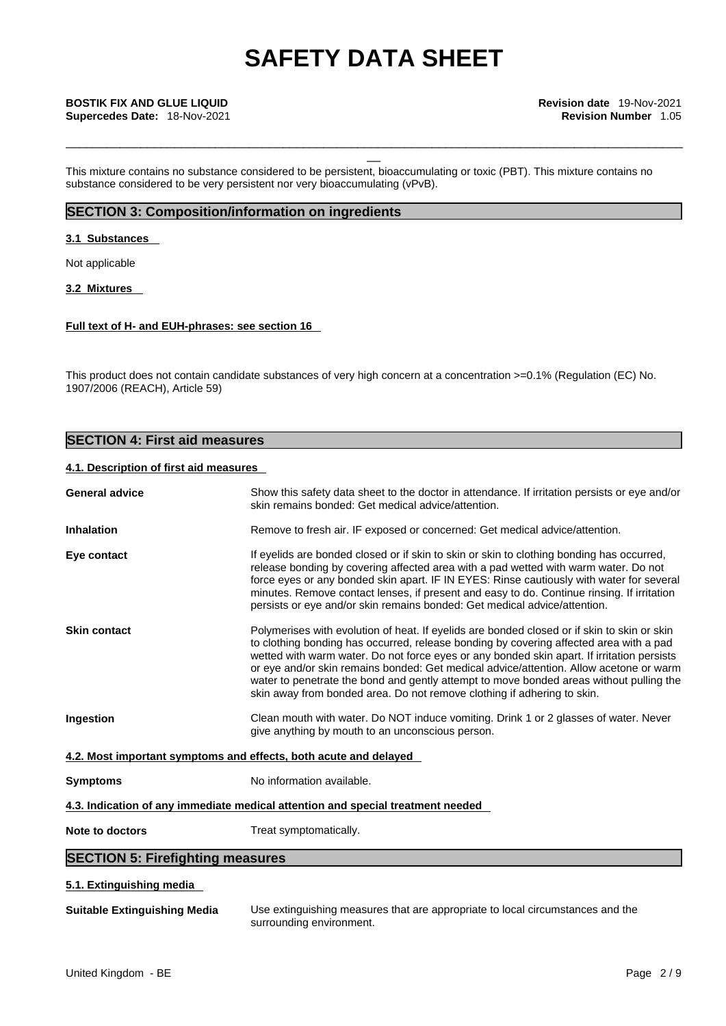\_\_\_\_\_\_\_\_\_\_\_\_\_\_\_\_\_\_\_\_\_\_\_\_\_\_\_\_\_\_\_\_\_\_\_\_\_\_\_\_\_\_\_\_\_\_\_\_\_\_\_\_\_\_\_\_\_\_\_\_\_\_\_\_\_\_\_\_\_\_\_\_\_\_\_\_\_\_\_\_\_\_\_\_\_\_\_\_\_\_\_

This mixture contains no substance considered to be persistent, bioaccumulating or toxic (PBT). This mixture contains no substance considered to be very persistent nor very bioaccumulating (vPvB).

# **SECTION 3: Composition/information on ingredients**

# **3.1 Substances**

Not applicable

# **3.2 Mixtures**

# **Full text of H- and EUH-phrases: see section 16**

This product does not contain candidate substances of very high concern at a concentration >=0.1% (Regulation (EC) No. 1907/2006 (REACH), Article 59)

# **SECTION 4: First aid measures**

# **4.1. Description of first aid measures**

| <b>General advice</b>                                            | Show this safety data sheet to the doctor in attendance. If irritation persists or eye and/or<br>skin remains bonded: Get medical advice/attention.                                                                                                                                                                                                                                                                                                                                                                                                 |
|------------------------------------------------------------------|-----------------------------------------------------------------------------------------------------------------------------------------------------------------------------------------------------------------------------------------------------------------------------------------------------------------------------------------------------------------------------------------------------------------------------------------------------------------------------------------------------------------------------------------------------|
| <b>Inhalation</b>                                                | Remove to fresh air. IF exposed or concerned: Get medical advice/attention.                                                                                                                                                                                                                                                                                                                                                                                                                                                                         |
| Eye contact                                                      | If eyelids are bonded closed or if skin to skin or skin to clothing bonding has occurred,<br>release bonding by covering affected area with a pad wetted with warm water. Do not<br>force eyes or any bonded skin apart. IF IN EYES: Rinse cautiously with water for several<br>minutes. Remove contact lenses, if present and easy to do. Continue rinsing. If irritation<br>persists or eye and/or skin remains bonded: Get medical advice/attention.                                                                                             |
| <b>Skin contact</b>                                              | Polymerises with evolution of heat. If eyelids are bonded closed or if skin to skin or skin<br>to clothing bonding has occurred, release bonding by covering affected area with a pad<br>wetted with warm water. Do not force eyes or any bonded skin apart. If irritation persists<br>or eye and/or skin remains bonded: Get medical advice/attention. Allow acetone or warm<br>water to penetrate the bond and gently attempt to move bonded areas without pulling the<br>skin away from bonded area. Do not remove clothing if adhering to skin. |
| Ingestion                                                        | Clean mouth with water. Do NOT induce vomiting. Drink 1 or 2 glasses of water. Never<br>give anything by mouth to an unconscious person.                                                                                                                                                                                                                                                                                                                                                                                                            |
| 4.2. Most important symptoms and effects, both acute and delayed |                                                                                                                                                                                                                                                                                                                                                                                                                                                                                                                                                     |
| <b>Symptoms</b>                                                  | No information available.                                                                                                                                                                                                                                                                                                                                                                                                                                                                                                                           |
|                                                                  | 4.3. Indication of any immediate medical attention and special treatment needed                                                                                                                                                                                                                                                                                                                                                                                                                                                                     |
| Note to doctors                                                  | Treat symptomatically.                                                                                                                                                                                                                                                                                                                                                                                                                                                                                                                              |
| <b>SECTION 5: Firefighting measures</b>                          |                                                                                                                                                                                                                                                                                                                                                                                                                                                                                                                                                     |
| 5.1. Extinguishing media                                         |                                                                                                                                                                                                                                                                                                                                                                                                                                                                                                                                                     |

**Suitable Extinguishing Media** Use extinguishing measures that are appropriate to local circumstances and the surrounding environment.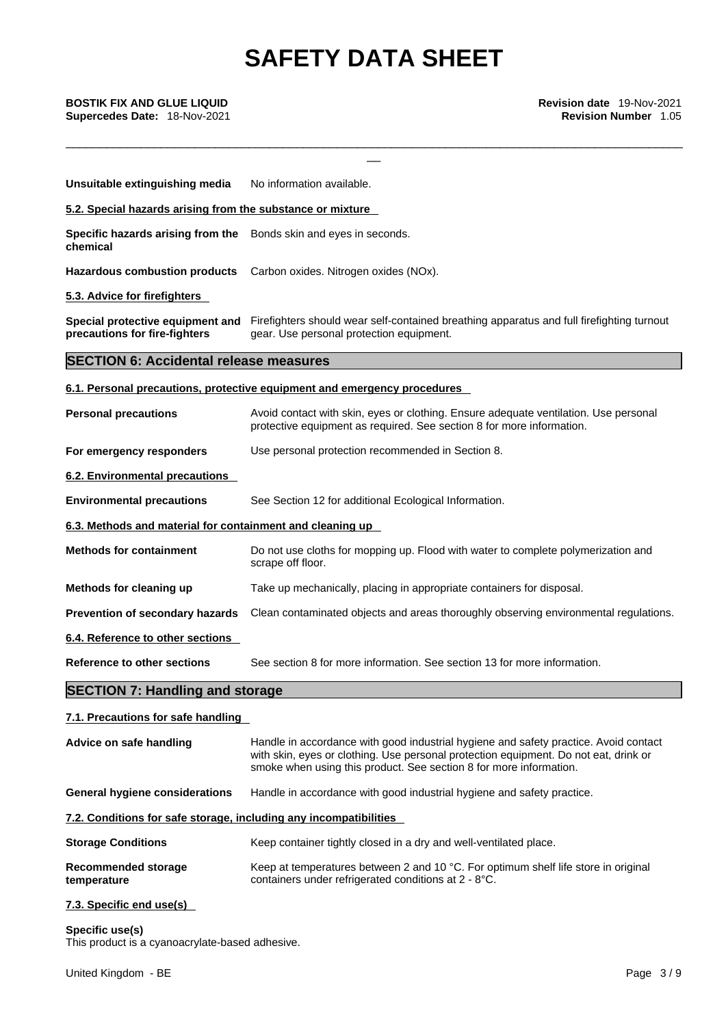\_\_\_\_\_\_\_\_\_\_\_\_\_\_\_\_\_\_\_\_\_\_\_\_\_\_\_\_\_\_\_\_\_\_\_\_\_\_\_\_\_\_\_\_\_\_\_\_\_\_\_\_\_\_\_\_\_\_\_\_\_\_\_\_\_\_\_\_\_\_\_\_\_\_\_\_\_\_\_\_\_\_\_\_\_\_\_\_\_\_\_

| Unsuitable extinguishing media                                                | No information available.                                                                                                                                                                                                                          |
|-------------------------------------------------------------------------------|----------------------------------------------------------------------------------------------------------------------------------------------------------------------------------------------------------------------------------------------------|
| 5.2. Special hazards arising from the substance or mixture                    |                                                                                                                                                                                                                                                    |
| Specific hazards arising from the Bonds skin and eyes in seconds.<br>chemical |                                                                                                                                                                                                                                                    |
| <b>Hazardous combustion products</b>                                          | Carbon oxides. Nitrogen oxides (NOx).                                                                                                                                                                                                              |
| 5.3. Advice for firefighters                                                  |                                                                                                                                                                                                                                                    |
| precautions for fire-fighters                                                 | Special protective equipment and Firefighters should wear self-contained breathing apparatus and full firefighting turnout<br>gear. Use personal protection equipment.                                                                             |
| <b>SECTION 6: Accidental release measures</b>                                 |                                                                                                                                                                                                                                                    |
|                                                                               | 6.1. Personal precautions, protective equipment and emergency procedures                                                                                                                                                                           |
| <b>Personal precautions</b>                                                   | Avoid contact with skin, eyes or clothing. Ensure adequate ventilation. Use personal<br>protective equipment as required. See section 8 for more information.                                                                                      |
| For emergency responders                                                      | Use personal protection recommended in Section 8.                                                                                                                                                                                                  |
| 6.2. Environmental precautions                                                |                                                                                                                                                                                                                                                    |
| <b>Environmental precautions</b>                                              | See Section 12 for additional Ecological Information.                                                                                                                                                                                              |
| 6.3. Methods and material for containment and cleaning up                     |                                                                                                                                                                                                                                                    |
| <b>Methods for containment</b>                                                | Do not use cloths for mopping up. Flood with water to complete polymerization and<br>scrape off floor.                                                                                                                                             |
| Methods for cleaning up                                                       | Take up mechanically, placing in appropriate containers for disposal.                                                                                                                                                                              |
| Prevention of secondary hazards                                               | Clean contaminated objects and areas thoroughly observing environmental regulations.                                                                                                                                                               |
| 6.4. Reference to other sections                                              |                                                                                                                                                                                                                                                    |
| <b>Reference to other sections</b>                                            | See section 8 for more information. See section 13 for more information.                                                                                                                                                                           |
| <b>SECTION 7: Handling and storage</b>                                        |                                                                                                                                                                                                                                                    |
| 7.1. Precautions for safe handling                                            |                                                                                                                                                                                                                                                    |
| Advice on safe handling                                                       | Handle in accordance with good industrial hygiene and safety practice. Avoid contact<br>with skin, eyes or clothing. Use personal protection equipment. Do not eat, drink or<br>smoke when using this product. See section 8 for more information. |
| <b>General hygiene considerations</b>                                         | Handle in accordance with good industrial hygiene and safety practice.                                                                                                                                                                             |
| 7.2. Conditions for safe storage, including any incompatibilities             |                                                                                                                                                                                                                                                    |
| <b>Storage Conditions</b>                                                     | Keep container tightly closed in a dry and well-ventilated place.                                                                                                                                                                                  |
| <b>Recommended storage</b><br>temperature                                     | Keep at temperatures between 2 and 10 °C. For optimum shelf life store in original<br>containers under refrigerated conditions at 2 - 8°C.                                                                                                         |
| 7.3. Specific end use(s)                                                      |                                                                                                                                                                                                                                                    |
| Specific use(s)<br>This product is a cyanoacrylate-based adhesive.            |                                                                                                                                                                                                                                                    |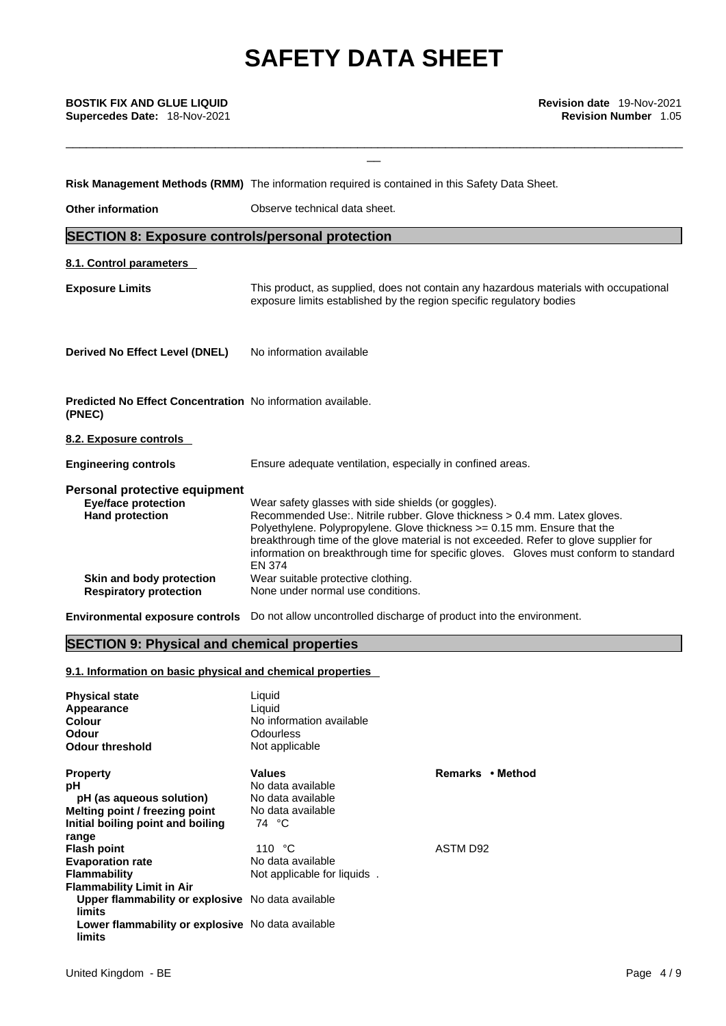\_\_\_\_\_\_\_\_\_\_\_\_\_\_\_\_\_\_\_\_\_\_\_\_\_\_\_\_\_\_\_\_\_\_\_\_\_\_\_\_\_\_\_\_\_\_\_\_\_\_\_\_\_\_\_\_\_\_\_\_\_\_\_\_\_\_\_\_\_\_\_\_\_\_\_\_\_\_\_\_\_\_\_\_\_\_\_\_\_\_\_

|                                                                                       | Risk Management Methods (RMM) The information required is contained in this Safety Data Sheet.                                                                                                                                                                                                                                                                                                                  |
|---------------------------------------------------------------------------------------|-----------------------------------------------------------------------------------------------------------------------------------------------------------------------------------------------------------------------------------------------------------------------------------------------------------------------------------------------------------------------------------------------------------------|
| <b>Other information</b>                                                              | Observe technical data sheet.                                                                                                                                                                                                                                                                                                                                                                                   |
| <b>SECTION 8: Exposure controls/personal protection</b>                               |                                                                                                                                                                                                                                                                                                                                                                                                                 |
| 8.1. Control parameters                                                               |                                                                                                                                                                                                                                                                                                                                                                                                                 |
| <b>Exposure Limits</b>                                                                | This product, as supplied, does not contain any hazardous materials with occupational<br>exposure limits established by the region specific regulatory bodies                                                                                                                                                                                                                                                   |
| Derived No Effect Level (DNEL)                                                        | No information available                                                                                                                                                                                                                                                                                                                                                                                        |
| Predicted No Effect Concentration No information available.<br>(PNEC)                 |                                                                                                                                                                                                                                                                                                                                                                                                                 |
| 8.2. Exposure controls                                                                |                                                                                                                                                                                                                                                                                                                                                                                                                 |
| <b>Engineering controls</b>                                                           | Ensure adequate ventilation, especially in confined areas.                                                                                                                                                                                                                                                                                                                                                      |
| Personal protective equipment<br><b>Eye/face protection</b><br><b>Hand protection</b> | Wear safety glasses with side shields (or goggles).<br>Recommended Use:. Nitrile rubber. Glove thickness > 0.4 mm. Latex gloves.<br>Polyethylene. Polypropylene. Glove thickness > = 0.15 mm. Ensure that the<br>breakthrough time of the glove material is not exceeded. Refer to glove supplier for<br>information on breakthrough time for specific gloves. Gloves must conform to standard<br><b>EN 374</b> |
| Skin and body protection<br><b>Respiratory protection</b>                             | Wear suitable protective clothing.<br>None under normal use conditions.                                                                                                                                                                                                                                                                                                                                         |
|                                                                                       |                                                                                                                                                                                                                                                                                                                                                                                                                 |

**Environmental exposure controls** Do not allow uncontrolled discharge of product into the environment.

# **SECTION 9: Physical and chemical properties**

# **9.1. Information on basic physical and chemical properties**

| <b>Physical state</b><br>Appearance<br>Colour<br>Odour<br><b>Odour threshold</b> | Liquid<br>Liquid<br>No information available<br><b>Odourless</b><br>Not applicable |                  |
|----------------------------------------------------------------------------------|------------------------------------------------------------------------------------|------------------|
| <b>Property</b>                                                                  | <b>Values</b>                                                                      | Remarks • Method |
| рH                                                                               | No data available                                                                  |                  |
| pH (as aqueous solution)                                                         | No data available                                                                  |                  |
| Melting point / freezing point                                                   | No data available                                                                  |                  |
| Initial boiling point and boiling                                                | 74 °C                                                                              |                  |
| range                                                                            |                                                                                    |                  |
| <b>Flash point</b>                                                               | 110 $\degree$ C                                                                    | ASTM D92         |
| <b>Evaporation rate</b>                                                          | No data available                                                                  |                  |
| <b>Flammability</b>                                                              | Not applicable for liquids.                                                        |                  |
| <b>Flammability Limit in Air</b>                                                 |                                                                                    |                  |
| Upper flammability or explosive No data available<br>limits                      |                                                                                    |                  |
| Lower flammability or explosive No data available<br>limits                      |                                                                                    |                  |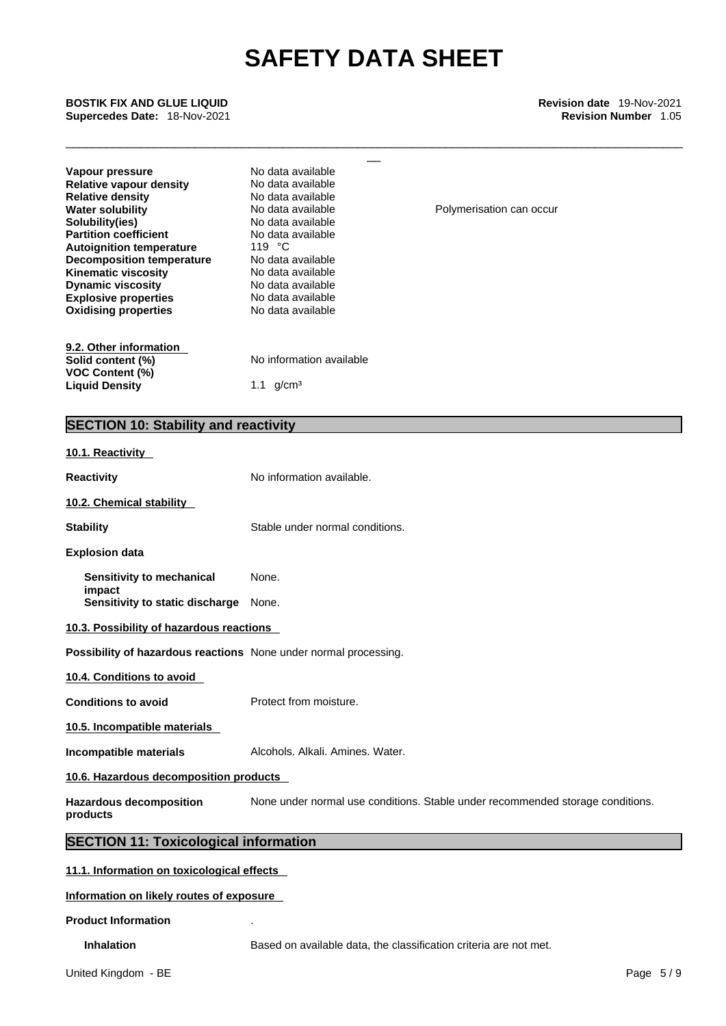\_\_\_\_\_\_\_\_\_\_\_\_\_\_\_\_\_\_\_\_\_\_\_\_\_\_\_\_\_\_\_\_\_\_\_\_\_\_\_\_\_\_\_\_\_\_\_\_\_\_\_\_\_\_\_\_\_\_\_\_\_\_\_\_\_\_\_\_\_\_\_\_\_\_\_\_\_\_\_\_\_\_\_\_\_\_\_\_\_\_\_

**Supercedes Date:** 18-Nov-2021 **Revision Number** 1.05

| <b>BOSTIK FIX AND GLUE LIQUID</b><br>Supercedes Date: 18-Nov-2021                                                                                                                                                                                                                                                                                         |                                                                                                                                                                                                                                               | <b>Revision date 19-Nov-2021</b><br><b>Revision Number 1.05</b>                |  |
|-----------------------------------------------------------------------------------------------------------------------------------------------------------------------------------------------------------------------------------------------------------------------------------------------------------------------------------------------------------|-----------------------------------------------------------------------------------------------------------------------------------------------------------------------------------------------------------------------------------------------|--------------------------------------------------------------------------------|--|
| Vapour pressure<br><b>Relative vapour density</b><br><b>Relative density</b><br><b>Water solubility</b><br>Solubility(ies)<br><b>Partition coefficient</b><br><b>Autoignition temperature</b><br><b>Decomposition temperature</b><br><b>Kinematic viscosity</b><br><b>Dynamic viscosity</b><br><b>Explosive properties</b><br><b>Oxidising properties</b> | No data available<br>No data available<br>No data available<br>No data available<br>No data available<br>No data available<br>119 °C<br>No data available<br>No data available<br>No data available<br>No data available<br>No data available | Polymerisation can occur                                                       |  |
| 9.2. Other information<br>Solid content (%)<br>VOC Content (%)<br><b>Liquid Density</b>                                                                                                                                                                                                                                                                   | No information available<br>1.1 $g/cm^{3}$                                                                                                                                                                                                    |                                                                                |  |
| <b>SECTION 10: Stability and reactivity</b>                                                                                                                                                                                                                                                                                                               |                                                                                                                                                                                                                                               |                                                                                |  |
| 10.1. Reactivity                                                                                                                                                                                                                                                                                                                                          |                                                                                                                                                                                                                                               |                                                                                |  |
| <b>Reactivity</b>                                                                                                                                                                                                                                                                                                                                         | No information available.                                                                                                                                                                                                                     |                                                                                |  |
| 10.2. Chemical stability                                                                                                                                                                                                                                                                                                                                  |                                                                                                                                                                                                                                               |                                                                                |  |
| <b>Stability</b>                                                                                                                                                                                                                                                                                                                                          | Stable under normal conditions.                                                                                                                                                                                                               |                                                                                |  |
| <b>Explosion data</b>                                                                                                                                                                                                                                                                                                                                     |                                                                                                                                                                                                                                               |                                                                                |  |
| Sensitivity to mechanical                                                                                                                                                                                                                                                                                                                                 | None.                                                                                                                                                                                                                                         |                                                                                |  |
| impact<br>Sensitivity to static discharge                                                                                                                                                                                                                                                                                                                 | None.                                                                                                                                                                                                                                         |                                                                                |  |
| 10.3. Possibility of hazardous reactions                                                                                                                                                                                                                                                                                                                  |                                                                                                                                                                                                                                               |                                                                                |  |
| Possibility of hazardous reactions None under normal processing.                                                                                                                                                                                                                                                                                          |                                                                                                                                                                                                                                               |                                                                                |  |
| 10.4. Conditions to avoid                                                                                                                                                                                                                                                                                                                                 |                                                                                                                                                                                                                                               |                                                                                |  |
| <b>Conditions to avoid</b>                                                                                                                                                                                                                                                                                                                                | Protect from moisture.                                                                                                                                                                                                                        |                                                                                |  |
| 10.5. Incompatible materials                                                                                                                                                                                                                                                                                                                              |                                                                                                                                                                                                                                               |                                                                                |  |
| Incompatible materials                                                                                                                                                                                                                                                                                                                                    | Alcohols, Alkali, Amines, Water,                                                                                                                                                                                                              |                                                                                |  |
| 10.6. Hazardous decomposition products                                                                                                                                                                                                                                                                                                                    |                                                                                                                                                                                                                                               |                                                                                |  |
| <b>Hazardous decomposition</b><br>products                                                                                                                                                                                                                                                                                                                |                                                                                                                                                                                                                                               | None under normal use conditions. Stable under recommended storage conditions. |  |
| <b>SECTION 11: Toxicological information</b>                                                                                                                                                                                                                                                                                                              |                                                                                                                                                                                                                                               |                                                                                |  |
| 11.1. Information on toxicological effects                                                                                                                                                                                                                                                                                                                |                                                                                                                                                                                                                                               |                                                                                |  |
| Information on likely routes of exposure                                                                                                                                                                                                                                                                                                                  |                                                                                                                                                                                                                                               |                                                                                |  |
| <b>Product Information</b>                                                                                                                                                                                                                                                                                                                                |                                                                                                                                                                                                                                               |                                                                                |  |

**Inhalation** Based on available data, the classification criteria are not met.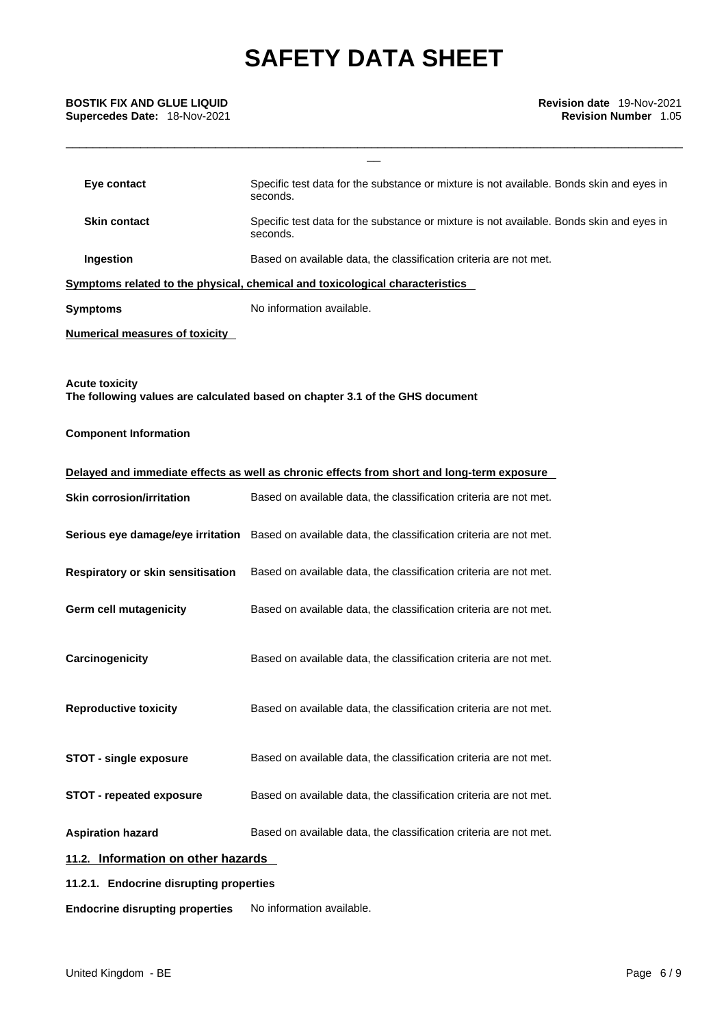# **Supercedes Date:** 18-Nov-2021 **Revision Number** 1.05

| <b>BOSTIK FIX AND GLUE LIQUID</b><br>Supercedes Date: 18-Nov-2021 | Revision date 19-Nov-2021<br><b>Revision Number 1.05</b>                                             |
|-------------------------------------------------------------------|------------------------------------------------------------------------------------------------------|
|                                                                   |                                                                                                      |
| Eye contact                                                       | Specific test data for the substance or mixture is not available. Bonds skin and eyes in<br>seconds. |
| <b>Skin contact</b>                                               | Specific test data for the substance or mixture is not available. Bonds skin and eyes in<br>seconds. |
| Ingestion                                                         | Based on available data, the classification criteria are not met.                                    |
|                                                                   | Symptoms related to the physical, chemical and toxicological characteristics                         |
| <b>Symptoms</b>                                                   | No information available.                                                                            |
| <b>Numerical measures of toxicity</b>                             |                                                                                                      |
| <b>Acute toxicity</b>                                             | The following values are calculated based on chapter 3.1 of the GHS document                         |
| <b>Component Information</b>                                      |                                                                                                      |
|                                                                   | Delayed and immediate effects as well as chronic effects from short and long-term exposure           |
| <b>Skin corrosion/irritation</b>                                  | Based on available data, the classification criteria are not met.                                    |
|                                                                   | Serious eye damage/eye irritation Based on available data, the classification criteria are not met.  |
| Respiratory or skin sensitisation                                 | Based on available data, the classification criteria are not met.                                    |
| Germ cell mutagenicity                                            | Based on available data, the classification criteria are not met.                                    |
| Carcinogenicity                                                   | Based on available data, the classification criteria are not met.                                    |
| <b>Reproductive toxicity</b>                                      | Based on available data, the classification criteria are not met.                                    |
| <b>STOT - single exposure</b>                                     | Based on available data, the classification criteria are not met.                                    |
| <b>STOT - repeated exposure</b>                                   | Based on available data, the classification criteria are not met.                                    |
| <b>Aspiration hazard</b>                                          | Based on available data, the classification criteria are not met.                                    |
| 11.2. Information on other hazards                                |                                                                                                      |
| 11.2.1. Endocrine disrupting properties                           |                                                                                                      |
| <b>Endocrine disrupting properties</b>                            | No information available.                                                                            |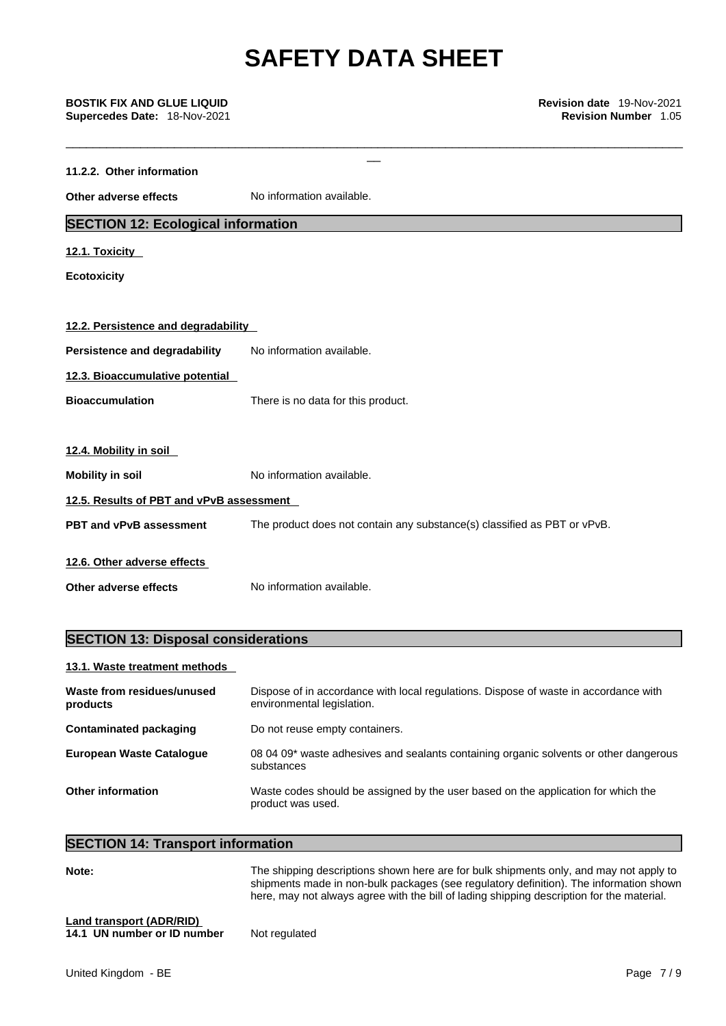| <b>BOSTIK FIX AND GLUE LIQUID</b><br>Supercedes Date: 18-Nov-2021 | Revision date 19-Nov-2021<br><b>Revision Number 1.05</b>                 |
|-------------------------------------------------------------------|--------------------------------------------------------------------------|
| 11.2.2. Other information                                         |                                                                          |
| Other adverse effects                                             | No information available.                                                |
| <b>SECTION 12: Ecological information</b>                         |                                                                          |
| 12.1. Toxicity                                                    |                                                                          |
| <b>Ecotoxicity</b>                                                |                                                                          |
| 12.2. Persistence and degradability                               |                                                                          |
| Persistence and degradability                                     | No information available.                                                |
| 12.3. Bioaccumulative potential                                   |                                                                          |
| <b>Bioaccumulation</b>                                            | There is no data for this product.                                       |
| 12.4. Mobility in soil                                            |                                                                          |
| <b>Mobility in soil</b>                                           | No information available.                                                |
| 12.5. Results of PBT and vPvB assessment                          |                                                                          |
| PBT and vPvB assessment                                           | The product does not contain any substance(s) classified as PBT or vPvB. |
| 12.6. Other adverse effects                                       |                                                                          |
| Other adverse effects                                             | No information available.                                                |
|                                                                   |                                                                          |

# **SECTION 13: Disposal considerations**

# **13.1. Waste treatment methods**

| Waste from residues/unused<br>products | Dispose of in accordance with local regulations. Dispose of waste in accordance with<br>environmental legislation. |
|----------------------------------------|--------------------------------------------------------------------------------------------------------------------|
| Contaminated packaging                 | Do not reuse empty containers.                                                                                     |
| <b>European Waste Cataloque</b>        | 08 04 09* waste adhesives and sealants containing organic solvents or other dangerous<br>substances                |
| Other information                      | Waste codes should be assigned by the user based on the application for which the<br>product was used.             |

# **SECTION 14: Transport information**

| Note:                           | The shipping descriptions shown here are for bulk shipments only, and may not apply to<br>shipments made in non-bulk packages (see regulatory definition). The information shown<br>here, may not always agree with the bill of lading shipping description for the material. |
|---------------------------------|-------------------------------------------------------------------------------------------------------------------------------------------------------------------------------------------------------------------------------------------------------------------------------|
| <b>Land transport (ADR/RID)</b> |                                                                                                                                                                                                                                                                               |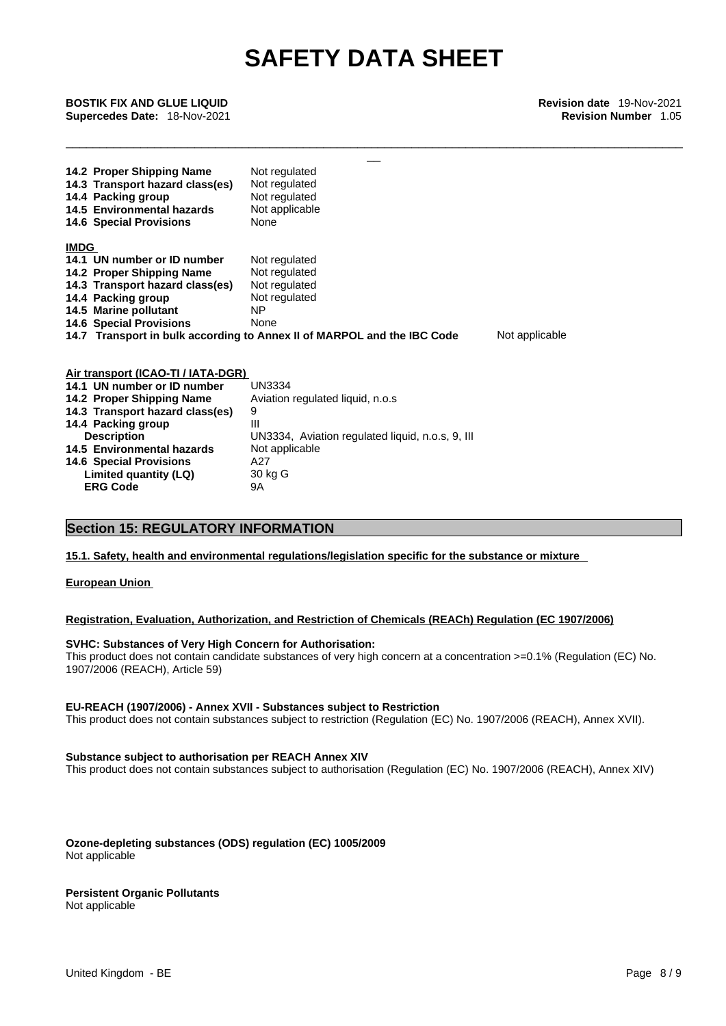\_\_\_\_\_\_\_\_\_\_\_\_\_\_\_\_\_\_\_\_\_\_\_\_\_\_\_\_\_\_\_\_\_\_\_\_\_\_\_\_\_\_\_\_\_\_\_\_\_\_\_\_\_\_\_\_\_\_\_\_\_\_\_\_\_\_\_\_\_\_\_\_\_\_\_\_\_\_\_\_\_\_\_\_\_\_\_\_\_\_\_

\_\_ **BOSTIK FIX AND GLUE LIQUID Revision date** 19-Nov-2021 **Supercedes Date:** 18-Nov-2021 **Revision Number** 1.05

| 14.2 Proper Shipping Name<br>14.3 Transport hazard class(es)<br>14.4 Packing group        | Not regulated<br>Not regulated<br>Not regulated |  |
|-------------------------------------------------------------------------------------------|-------------------------------------------------|--|
| 14.5 Environmental hazards                                                                | Not applicable                                  |  |
| <b>14.6 Special Provisions</b>                                                            | None                                            |  |
| <b>IMDG</b>                                                                               |                                                 |  |
| 14.1 UN number or ID number                                                               | Not regulated                                   |  |
| 14.2 Proper Shipping Name                                                                 | Not regulated                                   |  |
| 14.3 Transport hazard class(es)                                                           | Not regulated                                   |  |
| 14.4 Packing group                                                                        | Not regulated                                   |  |
| 14.5 Marine pollutant                                                                     | NΡ                                              |  |
| <b>14.6 Special Provisions</b>                                                            | None                                            |  |
| 14.7 Transport in bulk according to Annex II of MARPOL and the IBC Code<br>Not applicable |                                                 |  |
| Air transport (ICAO-TI / IATA-DGR)                                                        |                                                 |  |

| All Gallsport (IOAO-TI / IATA-DOI\) |                                                  |
|-------------------------------------|--------------------------------------------------|
| 14.1 UN number or ID number         | <b>UN3334</b>                                    |
| 14.2 Proper Shipping Name           | Aviation regulated liquid, n.o.s                 |
| 14.3 Transport hazard class(es)     | 9                                                |
| 14.4 Packing group                  | Ш                                                |
| <b>Description</b>                  | UN3334, Aviation regulated liquid, n.o.s, 9, III |
| 14.5 Environmental hazards          | Not applicable                                   |
| <b>14.6 Special Provisions</b>      | A27                                              |
| Limited quantity (LQ)               | 30 kg G                                          |
| <b>ERG Code</b>                     | 9Α                                               |
|                                     |                                                  |

# **Section 15: REGULATORY INFORMATION**

## **15.1. Safety, health and environmental regulations/legislation specific for the substance or mixture**

# **European Union**

# **Registration, Evaluation, Authorization, and Restriction of Chemicals (REACh) Regulation (EC 1907/2006)**

#### **SVHC: Substances of Very High Concern for Authorisation:**

This product does not contain candidate substances of very high concern at a concentration >=0.1% (Regulation (EC) No. 1907/2006 (REACH), Article 59)

#### **EU-REACH (1907/2006) - Annex XVII - Substances subject to Restriction**

This product does not contain substances subject to restriction (Regulation (EC) No. 1907/2006 (REACH), Annex XVII).

#### **Substance subject to authorisation per REACH Annex XIV**

This product does not contain substances subject to authorisation (Regulation (EC) No. 1907/2006 (REACH), Annex XIV)

**Ozone-depleting substances (ODS) regulation (EC) 1005/2009** Not applicable

# **Persistent Organic Pollutants**

Not applicable